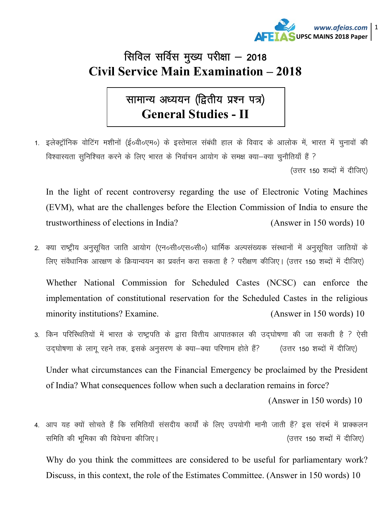

## सिविल सर्विस मुख्य परीक्षा - 2018 **Civil Service Main Examination – 2018**

सामान्य अध्ययन (द्वितीय प्रश्न पत्र) **General Studies - II** 

1. इलेक्ट्रॉनिक वोटिंग मशीनों (ई०वी०एम०) के इस्तेमाल संबंधी हाल के विवाद के आलोक में, भारत में चुनावों की विश्वास्यता सुनिश्चित करने के लिए भारत के निर्वाचन आयोग के समक्ष क्या-क्या चुनौतियाँ हैं ? (उत्तर 150 शब्दों में दीजिए)

In the light of recent controversy regarding the use of Electronic Voting Machines (EVM), what are the challenges before the Election Commission of India to ensure the trustworthiness of elections in India? (Answer in 150 words) 10

2. क्या राष्ट्रीय अनुसूचित जाति आयोग (एन०सी०एस०सी०) धार्मिक अल्पसंख्यक संस्थानों में अनुसूचित जातियों के लिए संवैधानिक आरक्षण के क्रियान्वयन का प्रवर्तन करा सकता है ? परीक्षण कीजिए। (उत्तर 150 शब्दों में दीजिए)

Whether National Commission for Scheduled Castes (NCSC) can enforce the implementation of constitutional reservation for the Scheduled Castes in the religious minority institutions? Examine. (Answer in 150 words) 10

3. किन परिस्थितियों में भारत के राष्ट्रपति के द्वारा वित्तीय आपातकाल की उदघोषणा की जा सकती है ? ऐसी उद्घोषणा के लागू रहने तक, इसके अनुसरण के क्या-क्या परिणाम होते हैं? (उत्तर 150 शब्दों में दीजिए)

Under what circumstances can the Financial Emergency be proclaimed by the President of India? What consequences follow when such a declaration remains in force?

(Answer in 150 words) 10

4. आप यह क्यों सोचते हैं कि समितियाँ संसदीय कार्यों के लिए उपयोगी मानी जाती हैं? इस संदर्भ में प्राक्कलन समिति की भूमिका की विवेचना कीजिए। (उत्तर 150 शब्दों में दीजिए)

Why do you think the committees are considered to be useful for parliamentary work? Discuss, in this context, the role of the Estimates Committee. (Answer in 150 words) 10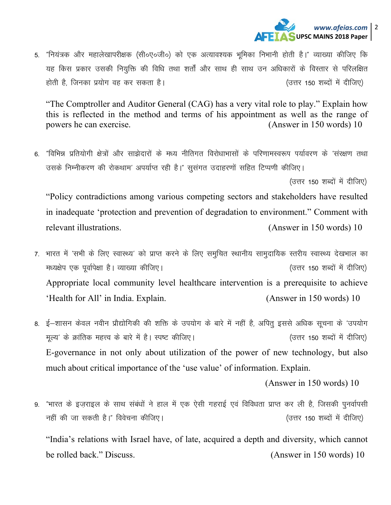

5. "नियंत्रक और महालेखापरीक्षक (सी॰ए॰जी॰) को एक अत्यावश्यक भूमिका निभानी होती है।" व्याख्या कीजिए कि यह किस प्रकार उसकी नियुक्ति की विधि तथा शर्तों और साथ ही साथ उन अधिकारों के विस्तार से परिलक्षित होती है, जिनका प्रयोग वह कर सकता है। (उत्तर 150 शब्दों में दीजिए)

"The Comptroller and Auditor General (CAG) has a very vital role to play." Explain how this is reflected in the method and terms of his appointment as well as the range of powers he can exercise. (Answer in 150 words) 10

6. "विभिन्न प्रतियोगी क्षेत्रों और साझेदारों के मध्य नीतिगत विरोधाभासों के परिणामस्वरूप पर्यावरण के 'संरक्षण तथा उसके निम्नीकरण की रोकथाम' अपर्याप्त रही है।" सूसंगत उदाहरणों सहित टिप्पणी कीजिए।

(उत्तर 150 शब्दों में दीजिए)

"Policy contradictions among various competing sectors and stakeholders have resulted in inadequate 'protection and prevention of degradation to environment." Comment with relevant illustrations. (Answer in  $150$  words) 10

- 7. भारत में 'सभी के लिए स्वास्थ्य' को प्राप्त करने के लिए समुचित स्थानीय सामुदायिक स्तरीय स्वास्थ्य देखभाल का मध्यक्षेप एक पूर्वापेक्षा है। व्याख्या कीजिए। (उत्तर 150 शब्दों में दीजिए) Appropriate local community level healthcare intervention is a prerequisite to achieve 'Health for All' in India. Explain. (Answer in 150 words) 10
- 8. ई–शासन केवल नवीन प्रौद्योगिकी की शक्ति के उपयोग के बारे में नहीं है, अपितू इससे अधिक सूचना के 'उपयोग मल्य' के क्रांतिक महत्त्व के बारे में है। स्पष्ट कीजिए। (उत्तर 150 शब्दों में दीजिए) E-governance in not only about utilization of the power of new technology, but also much about critical importance of the 'use value' of information. Explain.

(Answer in 150 words) 10

9. "भारत के इज़राइल के साथ संबंधों ने हाल में एक ऐसी गहराई एवं विविधता प्राप्त कर ली है, जिसकी पुनर्वापसी नहीं की जा सकती है।" विवेचना कीजिए। (उत्तर 150 शब्दों में दीजिए)

"India's relations with Israel have, of late, acquired a depth and diversity, which cannot be rolled back." Discuss. (Answer in 150 words) 10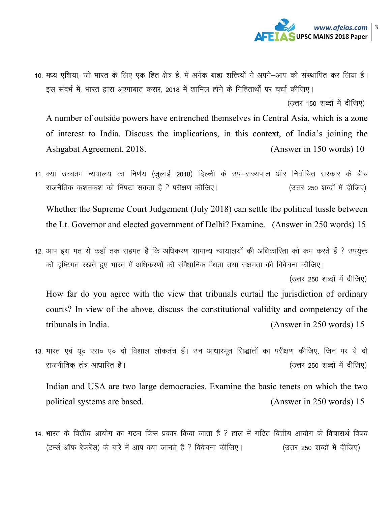

10. मध्य एशिया, जो भारत के लिए एक हित क्षेत्र है, में अनेक बाह्य शक्तियों ने अपने—आप को संस्थापित कर लिया है। इस संदर्भ में, भारत द्वारा अश्गाबात करार, 2018 में शामिल होने के निहितार्थों पर चर्चा कीजिए।

(उत्तर 150 शब्दों में दीजिए)

A number of outside powers have entrenched themselves in Central Asia, which is a zone of interest to India. Discuss the implications, in this context, of India's joining the Ashgabat Agreement, 2018. (Answer in 150 words) 10

11. क्या उच्चतम न्ययालय का निर्णय (जुलाई 2018) दिल्ली के उप–राज्यपाल और निर्वाचित सरकार के बीच राजनैतिक कशमकश को निपटा सकता है ? परीक्षण कीजिए। (उत्तर 250 शब्दों में दीजिए)

Whether the Supreme Court Judgement (July 2018) can settle the political tussle between the Lt. Governor and elected government of Delhi? Examine. (Answer in 250 words) 15

12. आप इस मत से कहाँ तक सहमत हैं कि अधिकरण सामान्य न्यायालयों की अधिकारिता को कम करते हैं ? उपर्युक्त को दृष्टिगत रखते हुए भारत में अधिकरणों की संवैधानिक वैधता तथा सक्षमता की विवेचना कीजिए।

(उत्तर 250 शब्दों में दीजिए)

How far do you agree with the view that tribunals curtail the jurisdiction of ordinary courts? In view of the above, discuss the constitutional validity and competency of the tribunals in India. (Answer in 250 words) 15

13. भारत एवं यू० एस० ए० दो विशाल लोकतंत्र हैं। उन आधारभूत सिद्धांतों का परीक्षण कीजिए, जिन पर ये दो jktuhfrd ra= vk/kkfjr gSaA ¼mŸkj 250 'kCnksa esa nhft,½

Indian and USA are two large democracies. Examine the basic tenets on which the two political systems are based. (Answer in 250 words) 15

14. भारत के वित्तीय आयोग का गठन किस प्रकार किया जाता है ? हाल में गठित वित्तीय आयोग के विचारार्थ विषय (टर्म्स ऑफ रेफरेंस) के बारे में आप क्या जानते हैं ? विवेचना कीजिए। (उत्तर 250 शब्दों में दीजिए)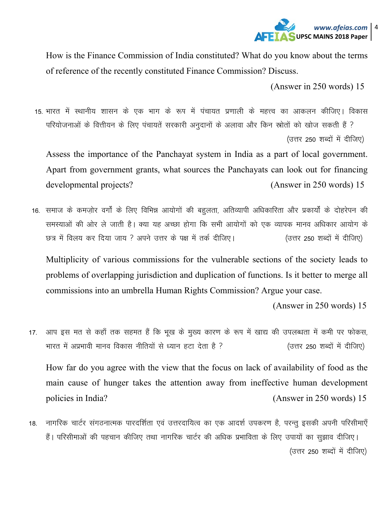

How is the Finance Commission of India constituted? What do you know about the terms of reference of the recently constituted Finance Commission? Discuss.

(Answer in 250 words) 15

15. भारत में स्थानीय शासन के एक भाग के रूप में पंचायत प्रणाली के महत्त्व का आकलन कीजिए। विकास परियोजनाओं के वित्तीयन के लिए पंचायतें सरकारी अनुदानों के अलावा और किन स्रोतों को खोज सकती हैं ? (उत्तर 250 शब्दों में दीजिए)

Assess the importance of the Panchayat system in India as a part of local government. Apart from government grants, what sources the Panchayats can look out for financing developmental projects? (Answer in 250 words) 15

16. समाज के कमज़ोर वर्गों के लिए विभिन्न आयोगों की बहुलता, अतिव्यापी अधिकारिता और प्रकार्यों के दोहरेपन की समस्याओं की ओर ले जाती है। क्या यह अच्छा होगा कि सभी आयोगों को एक व्यापक मानव अधिकार आयोग के छत्र में विलय कर दिया जाय ? अपने उत्तर के पक्ष में तर्क दीजिए। (उत्तर 250 शब्दों में दीजिए)

Multiplicity of various commissions for the vulnerable sections of the society leads to problems of overlapping jurisdiction and duplication of functions. Is it better to merge all commissions into an umbrella Human Rights Commission? Argue your case.

(Answer in 250 words) 15

17. आप इस मत से कहाँ तक सहमत हैं कि भूख के मुख्य कारण के रूप में खाद्य की उपलब्धता में कमी पर फोकस, भारत में अप्रभावी मानव विकास नीतियों से ध्यान हटा देता है ? (उत्तर 250 शब्दों में दीजिए)

How far do you agree with the view that the focus on lack of availability of food as the main cause of hunger takes the attention away from ineffective human development policies in India? (Answer in 250 words) 15

18. नागरिक चार्टर संगठनात्मक पारदर्शिता एवं उत्तरदायित्व का एक आदर्श उपकरण है, परन्तु इसकी अपनी परिसीमाएँ हैं। परिसीमाओं की पहचान कीजिए तथा नागरिक चार्टर की अधिक प्रभाविता के लिए उपायों का सुझाव दीजिए। (उत्तर 250 शब्दों में दीजिए)